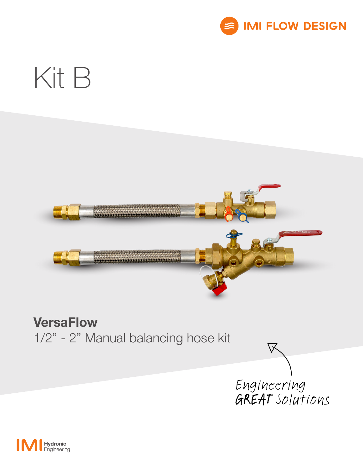

# Kit B



# **VersaFlow**

1/2" - 2" Manual balancing hose kit



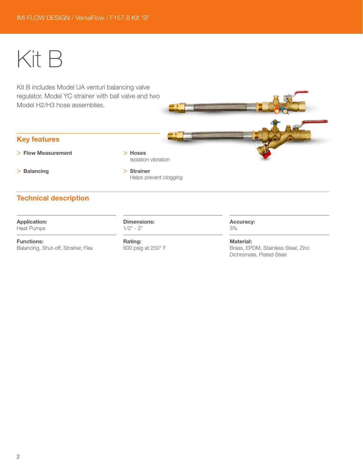# Kit B

Kit B includes Model UA venturi balancing valve regulator, Model YC strainer with ball valve and two Model H2/H3 hose assemblies.

## Key features

> Flow Measurement

> Hoses Isolation vibration

> Balancing

> Strainer Helps prevent clogging

# Technical description

# Application:

Heat Pumps

Functions: Balancing, Shut-off, Strainer, Flex Dimensions:  $1/2" - 2"$ 

Rating: 600 psig at 250° F

#### Accuracy: 3%

Material: Brass, EPDM, Stainless Steel, Zinc Dichromate, Plated Steel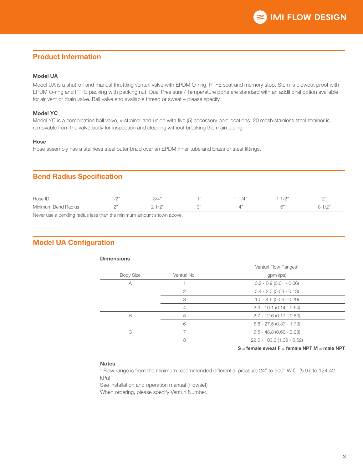## Product Information

#### Model UA

Model UA is a shut-off and manual throttling venturi valve with EPDM O-ring, PTFE seat and memory stop. Stem is blowout proof with EPDM O-ring and PTFE packing with packing nut. Dual Pres sure / Temperature ports are standard with an additional option available for air vent or drain valve. Ball valve end available thread or sweat – please specify.

#### Model YC

Model YC is a combination ball valve, y-strainer and union with five (5) accessory port locations. 20 mesh stainless steel strainer is removable from the valve body for inspection and cleaning without breaking the main piping.

#### **Hose**

Hose assembly has a stainless steel outer braid over an EPDM inner tube and brass or steel fittings.

### Bend Radius Specification

| Hose IL             | $\bigcap$ | 0/4<br>← / ب         |              | 101<br>17 C     | $\bigcap$<br><b>__</b>             |
|---------------------|-----------|----------------------|--------------|-----------------|------------------------------------|
| Minimum Bend Radius |           | $-1/0$ <sup>33</sup> | $\bigcap$ 33 | $\bigcap \{1\}$ | 10 <sup>r</sup><br>$1/\mathcal{L}$ |

Never use a bending radius less than the minimum amount shown above.

### Model UA Configuration

| <b>Dimensions</b> |                      |                             |  |  |  |  |  |
|-------------------|----------------------|-----------------------------|--|--|--|--|--|
|                   | Venturi Flow Ranges* |                             |  |  |  |  |  |
| <b>Body Size</b>  | Venturi No.          | gpm (ips)                   |  |  |  |  |  |
| A                 |                      | $0.2 - 0.9$ (0.01 - 0.06)   |  |  |  |  |  |
|                   | 2                    | $0.4 - 2.0$ (0.03 - 0.13)   |  |  |  |  |  |
|                   | 3                    | $1.0 - 4.6(0.06 - 0.29)$    |  |  |  |  |  |
|                   | 4                    | $2.3 - 10.1$ (0.14 - 0.64)  |  |  |  |  |  |
| B                 | 5                    | $2.7 - 12.6$ (0.17 - 0.80)  |  |  |  |  |  |
|                   | 6                    | $5.8 - 27.5$ (0.37 - 1.73)  |  |  |  |  |  |
| C,                |                      | $9.5 - 48.8$ (0.60 - 3.08)  |  |  |  |  |  |
|                   | 8                    | $22.0 - 103.3(1.39 - 6.52)$ |  |  |  |  |  |

 $S =$  female sweat  $F =$  female NPT M = male NPT

#### **Notes**

\* Flow range is from the minimum recommended differential pressure 24" to 500" W.C. (5.97 to 124.42 kPa)

See installation and operation manual (Flowset)

When ordering, please specify Venturi Number.